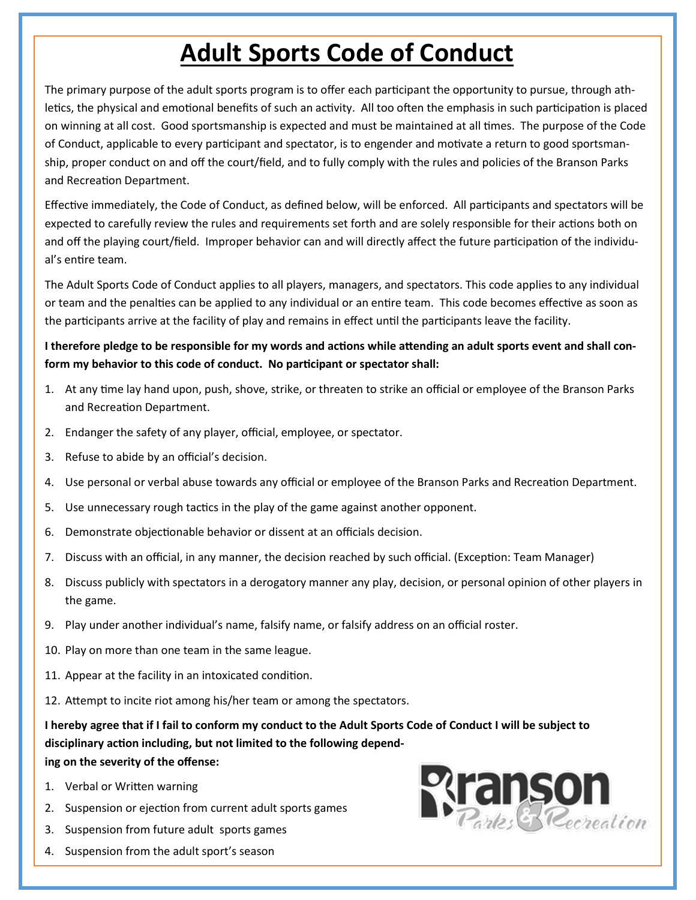## **Adult Sports Code of Conduct**

The primary purpose of the adult sports program is to offer each participant the opportunity to pursue, through athletics, the physical and emotional benefits of such an activity. All too often the emphasis in such participation is placed on winning at all cost. Good sportsmanship is expected and must be maintained at all times. The purpose of the Code of Conduct, applicable to every participant and spectator, is to engender and motivate a return to good sportsmanship, proper conduct on and off the court/field, and to fully comply with the rules and policies of the Branson Parks and Recreation Department.

Effective immediately, the Code of Conduct, as defined below, will be enforced. All participants and spectators will be expected to carefully review the rules and requirements set forth and are solely responsible for their actions both on and off the playing court/field. Improper behavior can and will directly affect the future participation of the individual's entire team.

The Adult Sports Code of Conduct applies to all players, managers, and spectators. This code applies to any individual or team and the penalties can be applied to any individual or an entire team. This code becomes effective as soon as the participants arrive at the facility of play and remains in effect until the participants leave the facility.

## **I therefore pledge to be responsible for my words and actions while attending an adult sports event and shall conform my behavior to this code of conduct. No participant or spectator shall:**

- 1. At any time lay hand upon, push, shove, strike, or threaten to strike an official or employee of the Branson Parks and Recreation Department.
- 2. Endanger the safety of any player, official, employee, or spectator.
- 3. Refuse to abide by an official's decision.
- 4. Use personal or verbal abuse towards any official or employee of the Branson Parks and Recreation Department.
- 5. Use unnecessary rough tactics in the play of the game against another opponent.
- 6. Demonstrate objectionable behavior or dissent at an officials decision.
- 7. Discuss with an official, in any manner, the decision reached by such official. (Exception: Team Manager)
- 8. Discuss publicly with spectators in a derogatory manner any play, decision, or personal opinion of other players in the game.
- 9. Play under another individual's name, falsify name, or falsify address on an official roster.
- 10. Play on more than one team in the same league.
- 11. Appear at the facility in an intoxicated condition.
- 12. Attempt to incite riot among his/her team or among the spectators.

**I hereby agree that if I fail to conform my conduct to the Adult Sports Code of Conduct I will be subject to disciplinary action including, but not limited to the following depending on the severity of the offense:** 

- 1. Verbal or Written warning
- 2. Suspension or ejection from current adult sports games
- 3. Suspension from future adult sports games
- 4. Suspension from the adult sport's season